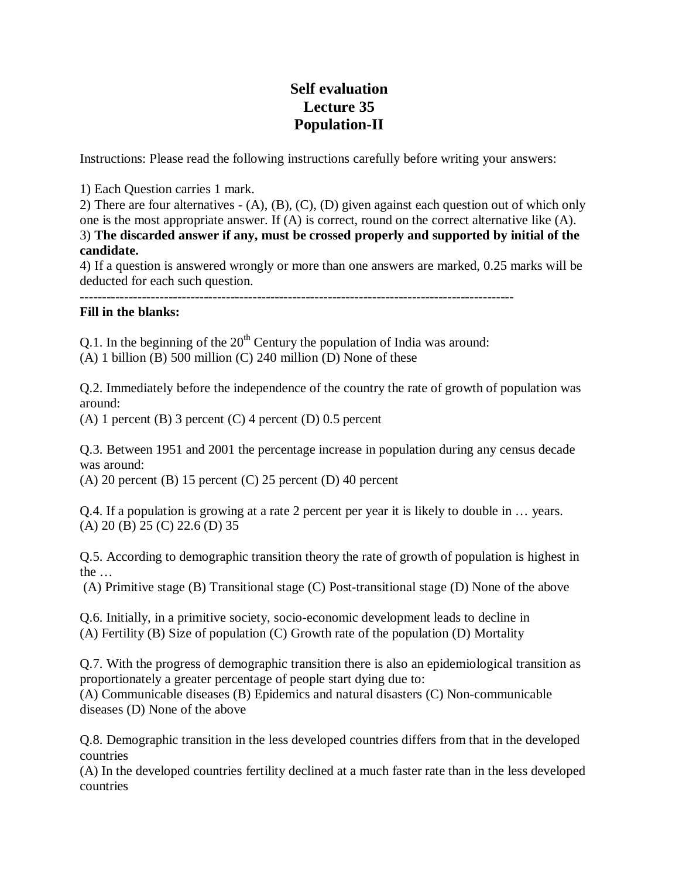## **Self evaluation Lecture 35 Population-II**

Instructions: Please read the following instructions carefully before writing your answers:

1) Each Question carries 1 mark.

2) There are four alternatives - (A), (B), (C), (D) given against each question out of which only one is the most appropriate answer. If (A) is correct, round on the correct alternative like (A). 3) **The discarded answer if any, must be crossed properly and supported by initial of the candidate.**

4) If a question is answered wrongly or more than one answers are marked, 0.25 marks will be deducted for each such question.

--------------------------------------------------------------------------------------------------

## **Fill in the blanks:**

Q.1. In the beginning of the  $20<sup>th</sup>$  Century the population of India was around:

(A) 1 billion (B) 500 million (C) 240 million (D) None of these

Q.2. Immediately before the independence of the country the rate of growth of population was around:

(A) 1 percent (B) 3 percent (C) 4 percent (D) 0.5 percent

Q.3. Between 1951 and 2001 the percentage increase in population during any census decade was around:

(A) 20 percent (B) 15 percent (C) 25 percent (D) 40 percent

Q.4. If a population is growing at a rate 2 percent per year it is likely to double in … years. (A) 20 (B) 25 (C) 22.6 (D) 35

Q.5. According to demographic transition theory the rate of growth of population is highest in the …

(A) Primitive stage (B) Transitional stage (C) Post-transitional stage (D) None of the above

Q.6. Initially, in a primitive society, socio-economic development leads to decline in (A) Fertility (B) Size of population (C) Growth rate of the population (D) Mortality

Q.7. With the progress of demographic transition there is also an epidemiological transition as proportionately a greater percentage of people start dying due to: (A) Communicable diseases (B) Epidemics and natural disasters (C) Non-communicable diseases (D) None of the above

Q.8. Demographic transition in the less developed countries differs from that in the developed countries

(A) In the developed countries fertility declined at a much faster rate than in the less developed countries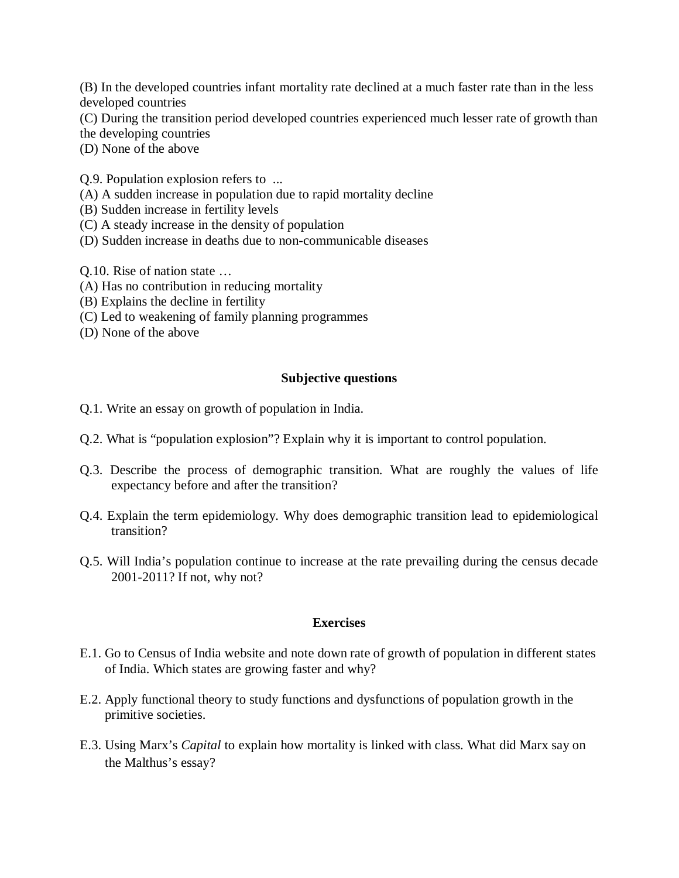(B) In the developed countries infant mortality rate declined at a much faster rate than in the less developed countries

(C) During the transition period developed countries experienced much lesser rate of growth than the developing countries

(D) None of the above

Q.9. Population explosion refers to ...

- (A) A sudden increase in population due to rapid mortality decline
- (B) Sudden increase in fertility levels
- (C) A steady increase in the density of population
- (D) Sudden increase in deaths due to non-communicable diseases

Q.10. Rise of nation state …

- (A) Has no contribution in reducing mortality
- (B) Explains the decline in fertility
- (C) Led to weakening of family planning programmes
- (D) None of the above

## **Subjective questions**

- Q.1. Write an essay on growth of population in India.
- Q.2. What is "population explosion"? Explain why it is important to control population.
- Q.3. Describe the process of demographic transition. What are roughly the values of life expectancy before and after the transition?
- Q.4. Explain the term epidemiology. Why does demographic transition lead to epidemiological transition?
- Q.5. Will India's population continue to increase at the rate prevailing during the census decade 2001-2011? If not, why not?

## **Exercises**

- E.1. Go to Census of India website and note down rate of growth of population in different states of India. Which states are growing faster and why?
- E.2. Apply functional theory to study functions and dysfunctions of population growth in the primitive societies.
- E.3. Using Marx's *Capital* to explain how mortality is linked with class. What did Marx say on the Malthus's essay?